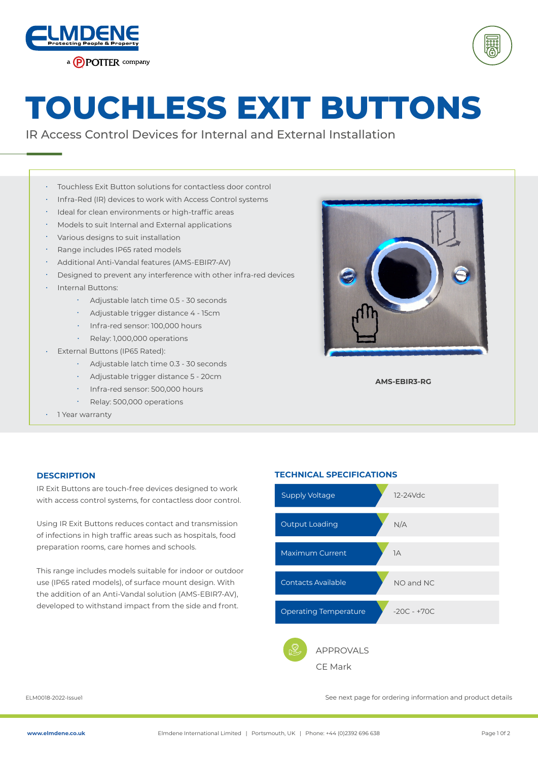



# **TOUCHLESS EXIT BUTTONS**

IR Access Control Devices for Internal and External Installation

- Touchless Exit Button solutions for contactless door control •
- Infra-Red (IR) devices to work with Access Control systems •
- · Ideal for clean environments or high-traffic areas
- Models to suit Internal and External applications •
- Various designs to suit installation •
- Range includes IP65 rated models •
- Additional Anti-Vandal features (AMS-EBIR7-AV) •
- Designed to prevent any interference with other infra-red devices •
- Internal Buttons: •

•

- Adjustable latch time 0.5 30 seconds •
- Adjustable trigger distance 4 15cm
- Infra-red sensor: 100,000 hours
- Relay: 1,000,000 operations
- External Buttons (IP65 Rated): •
	- Adjustable latch time 0.3 30 seconds •
	- Adjustable trigger distance 5 20cm •
	- · Infra-red sensor: 500,000 hours
	- Relay: 500,000 operations
- 1 Year warranty



**AMS-EBIR3-RG**

IR Exit Buttons are touch-free devices designed to work with access control systems, for contactless door control.

Using IR Exit Buttons reduces contact and transmission of infections in high traffic areas such as hospitals, food preparation rooms, care homes and schools.

This range includes models suitable for indoor or outdoor use (IP65 rated models), of surface mount design. With the addition of an Anti-Vandal solution (AMS-EBIR7-AV), developed to withstand impact from the side and front.

#### **DESCRIPTION TECHNICAL SPECIFICATIONS**



ELM0018-2022-Issue1 See next page for ordering information and product details